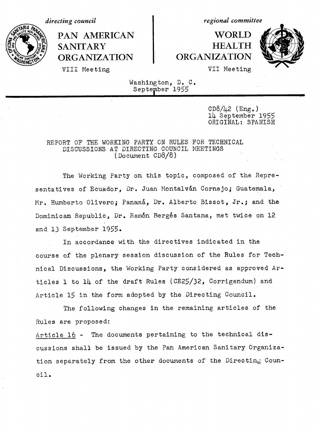PAN AMERICAN | WORLD SANITARY **HEALTH ORGANIZATION ORGANIZATION**

*directing council* and *regional committee* 



VIII Meeting VII Meeting

Washington, D. C. September 1955

> $CD8/42$  (Eng.) 1L September 1955 ORIGINAL: SPANISH

## REPORT OF THE WORKING PARTY ON RULES FOR TECHNICAL DISCUSSIONS AT DIRECTING COUNCIL MEETINGS (Document CD8/8)

The Working Party on this topic, composed of the Representatives of Ecuador, Dr. Juan Montalván Cornejo; Guatemala, Mr. Humberto Olivero; Panamá, Dr. Alberto Bissot, Jr.; and the Dominican Republic, Dr. Ram6n Berg6s Santana, met twice on 12 and 13 September 1955.

In accordance with the directives indicated in the course of the plenary session discussion of the Rules for Technical Discussions, the Working Party considered as approved Articles 1 to 14 of the draft Rules (CE25/32, Corrigendum) and Article 15 in the form adopted by the Directing Council.

The following changes in the remaining articles of the Rules are proposed: Article 16 - The documents pertaining to the technical discussions shall be issued by the Pan American Sanitary Organization separately from the other documents of the Directing Council.